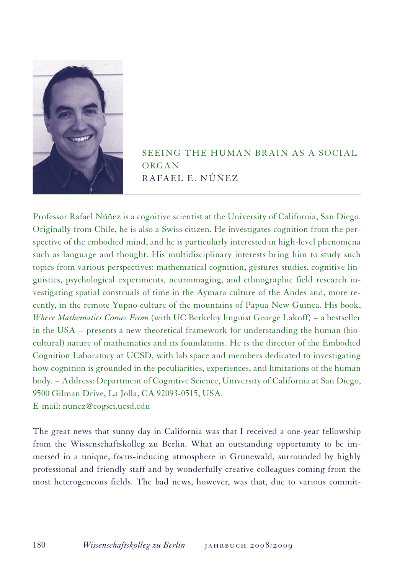

SEEING THE HUMAN BRAIN AS A SOCIAL **ORGAN** Rafael E. Núñez

Professor Rafael Núñez is a cognitive scientist at the University of California, San Diego. Originally from Chile, he is also a Swiss citizen. He investigates cognition from the perspective of the embodied mind, and he is particularly interested in high-level phenomena such as language and thought. His multidisciplinary interests bring him to study such topics from various perspectives: mathematical cognition, gestures studies, cognitive linguistics, psychological experiments, neuroimaging, and ethnographic field research investigating spatial construals of time in the Aymara culture of the Andes and, more recently, in the remote Yupno culture of the mountains of Papua New Guinea. His book, *Where Mathematics Comes From* (with UC Berkeley linguist George Lakoff) − a bestseller in the USA − presents a new theoretical framework for understanding the human (biocultural) nature of mathematics and its foundations. He is the director of the Embodied Cognition Laboratory at UCSD, with lab space and members dedicated to investigating how cognition is grounded in the peculiarities, experiences, and limitations of the human body. − Address: Department of Cognitive Science, University of California at San Diego, 9500 Gilman Drive, La Jolla, CA 92093-0515, USA. E-mail: nunez@cogsci.ucsd.edu

The great news that sunny day in California was that I received a one-year fellowship from the Wissenschaftskolleg zu Berlin. What an outstanding opportunity to be immersed in a unique, focus-inducing atmosphere in Grunewald, surrounded by highly professional and friendly staff and by wonderfully creative colleagues coming from the most heterogeneous fields. The bad news, however, was that, due to various commit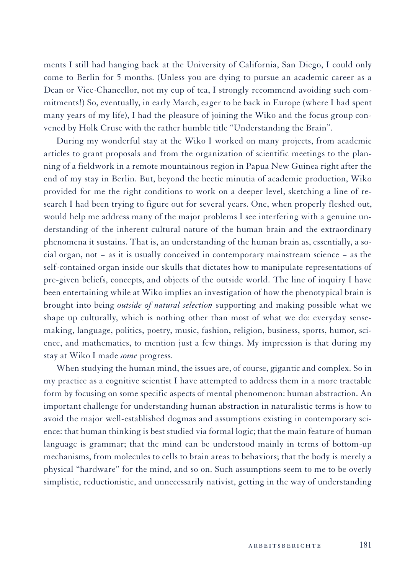ments I still had hanging back at the University of California, San Diego, I could only come to Berlin for 5 months. (Unless you are dying to pursue an academic career as a Dean or Vice-Chancellor, not my cup of tea, I strongly recommend avoiding such commitments!) So, eventually, in early March, eager to be back in Europe (where I had spent many years of my life), I had the pleasure of joining the Wiko and the focus group convened by Holk Cruse with the rather humble title "Understanding the Brain".

During my wonderful stay at the Wiko I worked on many projects, from academic articles to grant proposals and from the organization of scientific meetings to the planning of a fieldwork in a remote mountainous region in Papua New Guinea right after the end of my stay in Berlin. But, beyond the hectic minutia of academic production, Wiko provided for me the right conditions to work on a deeper level, sketching a line of research I had been trying to figure out for several years. One, when properly fleshed out, would help me address many of the major problems I see interfering with a genuine understanding of the inherent cultural nature of the human brain and the extraordinary phenomena it sustains. That is, an understanding of the human brain as, essentially, a social organ, not − as it is usually conceived in contemporary mainstream science − as the self-contained organ inside our skulls that dictates how to manipulate representations of pre-given beliefs, concepts, and objects of the outside world. The line of inquiry I have been entertaining while at Wiko implies an investigation of how the phenotypical brain is brought into being *outside of natural selection* supporting and making possible what we shape up culturally, which is nothing other than most of what we do: everyday sensemaking, language, politics, poetry, music, fashion, religion, business, sports, humor, science, and mathematics, to mention just a few things. My impression is that during my stay at Wiko I made *some* progress.

When studying the human mind, the issues are, of course, gigantic and complex. So in my practice as a cognitive scientist I have attempted to address them in a more tractable form by focusing on some specific aspects of mental phenomenon: human abstraction. An important challenge for understanding human abstraction in naturalistic terms is how to avoid the major well-established dogmas and assumptions existing in contemporary science: that human thinking is best studied via formal logic; that the main feature of human language is grammar; that the mind can be understood mainly in terms of bottom-up mechanisms, from molecules to cells to brain areas to behaviors; that the body is merely a physical "hardware" for the mind, and so on. Such assumptions seem to me to be overly simplistic, reductionistic, and unnecessarily nativist, getting in the way of understanding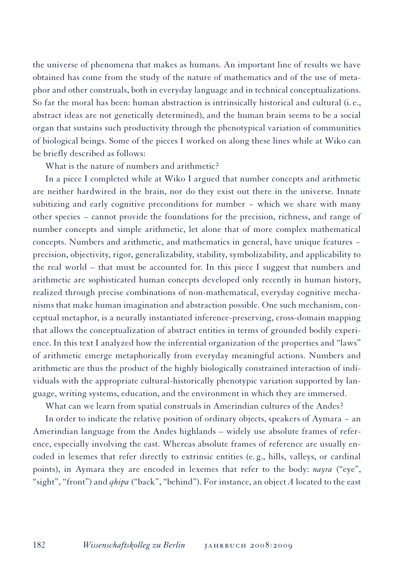the universe of phenomena that makes as humans. An important line of results we have obtained has come from the study of the nature of mathematics and of the use of metaphor and other construals, both in everyday language and in technical conceptualizations. So far the moral has been: human abstraction is intrinsically historical and cultural (i. e., abstract ideas are not genetically determined), and the human brain seems to be a social organ that sustains such productivity through the phenotypical variation of communities of biological beings. Some of the pieces I worked on along these lines while at Wiko can be briefly described as follows:

What is the nature of numbers and arithmetic?

In a piece I completed while at Wiko I argued that number concepts and arithmetic are neither hardwired in the brain, nor do they exist out there in the universe. Innate subitizing and early cognitive preconditions for number − which we share with many other species − cannot provide the foundations for the precision, richness, and range of number concepts and simple arithmetic, let alone that of more complex mathematical concepts. Numbers and arithmetic, and mathematics in general, have unique features − precision, objectivity, rigor, generalizability, stability, symbolizability, and applicability to the real world – that must be accounted for. In this piece I suggest that numbers and arithmetic are sophisticated human concepts developed only recently in human history, realized through precise combinations of non-mathematical, everyday cognitive mechanisms that make human imagination and abstraction possible. One such mechanism, conceptual metaphor, is a neurally instantiated inference-preserving, cross-domain mapping that allows the conceptualization of abstract entities in terms of grounded bodily experience. In this text I analyzed how the inferential organization of the properties and "laws" of arithmetic emerge metaphorically from everyday meaningful actions. Numbers and arithmetic are thus the product of the highly biologically constrained interaction of individuals with the appropriate cultural-historically phenotypic variation supported by language, writing systems, education, and the environment in which they are immersed.

What can we learn from spatial construals in Amerindian cultures of the Andes?

In order to indicate the relative position of ordinary objects, speakers of Aymara − an Amerindian language from the Andes highlands – widely use absolute frames of reference, especially involving the east. Whereas absolute frames of reference are usually encoded in lexemes that refer directly to extrinsic entities (e. g., hills, valleys, or cardinal points), in Aymara they are encoded in lexemes that refer to the body: *nayra* ("eye", "sight", "front") and *qhipa* ("back", "behind"). For instance, an object *A* located to the east